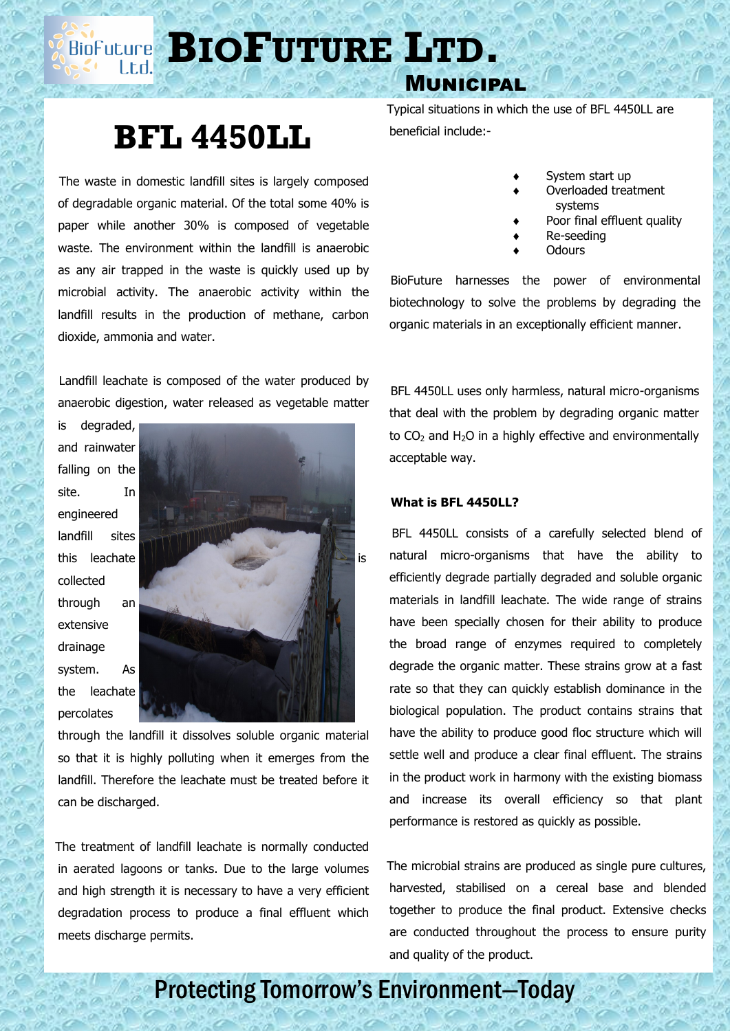**BIOFUTURE** LTD.

### Municipal

# **BFL 4450LL**

 The waste in domestic landfill sites is largely composed of degradable organic material. Of the total some 40% is paper while another 30% is composed of vegetable waste. The environment within the landfill is anaerobic as any air trapped in the waste is quickly used up by microbial activity. The anaerobic activity within the landfill results in the production of methane, carbon dioxide, ammonia and water.

 Landfill leachate is composed of the water produced by anaerobic digestion, water released as vegetable matter

and rainwater falling on the site. In engineered landfill sites collected through an extensive drainage system. As the leachate percolates

is degraded,



through the landfill it dissolves soluble organic material so that it is highly polluting when it emerges from the landfill. Therefore the leachate must be treated before it can be discharged.

 The treatment of landfill leachate is normally conducted in aerated lagoons or tanks. Due to the large volumes and high strength it is necessary to have a very efficient degradation process to produce a final effluent which meets discharge permits.

 Typical situations in which the use of BFL 4450LL are beneficial include:-

- System start up
- Overloaded treatment systems
- Poor final effluent quality
- Re-seeding
- **Odours**

 BioFuture harnesses the power of environmental biotechnology to solve the problems by degrading the organic materials in an exceptionally efficient manner.

 BFL 4450LL uses only harmless, natural micro-organisms that deal with the problem by degrading organic matter to  $CO<sub>2</sub>$  and H<sub>2</sub>O in a highly effective and environmentally acceptable way.

### **What is BFL 4450LL?**

 BFL 4450LL consists of a carefully selected blend of natural micro-organisms that have the ability to efficiently degrade partially degraded and soluble organic materials in landfill leachate. The wide range of strains have been specially chosen for their ability to produce the broad range of enzymes required to completely degrade the organic matter. These strains grow at a fast rate so that they can quickly establish dominance in the biological population. The product contains strains that have the ability to produce good floc structure which will settle well and produce a clear final effluent. The strains in the product work in harmony with the existing biomass and increase its overall efficiency so that plant performance is restored as quickly as possible.

 The microbial strains are produced as single pure cultures, harvested, stabilised on a cereal base and blended together to produce the final product. Extensive checks are conducted throughout the process to ensure purity and quality of the product.

## Protecting Tomorrow's Environment—Today